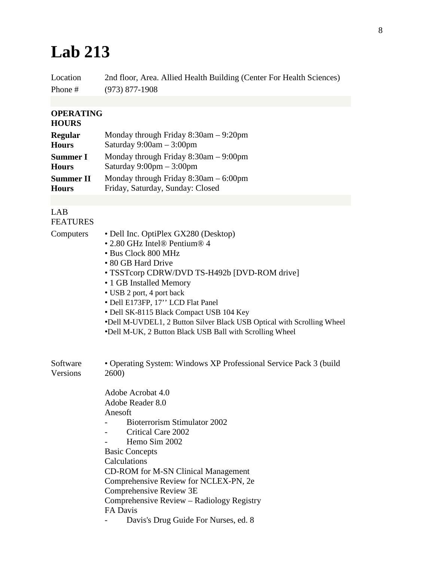## **Lab 213**

Location 2nd floor, Area. Allied Health Building (Center For Health Sciences) Phone # (973) 877-1908

## **OPERATING**

## **HOURS**

| <b>Regular</b>   | Monday through Friday $8:30$ am $-9:20$ pm |
|------------------|--------------------------------------------|
| <b>Hours</b>     | Saturday $9:00am - 3:00pm$                 |
| <b>Summer I</b>  | Monday through Friday $8:30$ am $-9:00$ pm |
| <b>Hours</b>     | Saturday $9:00 \text{pm} - 3:00 \text{pm}$ |
| <b>Summer II</b> | Monday through Friday $8:30$ am $-6:00$ pm |
| <b>Hours</b>     | Friday, Saturday, Sunday: Closed           |

## LAB FEATURES

| Computers | • Dell Inc. OptiPlex GX280 (Desktop)<br>• 2.80 GHz Intel® Pentium® 4   |  |
|-----------|------------------------------------------------------------------------|--|
|           |                                                                        |  |
|           | • Bus Clock 800 MHz                                                    |  |
|           | • 80 GB Hard Drive                                                     |  |
|           | • TSSTcorp CDRW/DVD TS-H492b [DVD-ROM drive]                           |  |
|           | • 1 GB Installed Memory                                                |  |
|           | • USB 2 port, 4 port back                                              |  |
|           | • Dell E173FP, 17" LCD Flat Panel                                      |  |
|           | • Dell SK-8115 Black Compact USB 104 Key                               |  |
|           | •Dell M-UVDEL1, 2 Button Silver Black USB Optical with Scrolling Wheel |  |
|           | •Dell M-UK, 2 Button Black USB Ball with Scrolling Wheel               |  |
| Software  | • Operating System: Windows XP Professional Service Pack 3 (build      |  |
| Versions  | 2600)                                                                  |  |
|           | Adobe Acrobat 4.0                                                      |  |
|           | Adobe Reader 8.0                                                       |  |
|           | Anesoft                                                                |  |
|           | Bioterrorism Stimulator 2002                                           |  |
|           | Critical Care 2002                                                     |  |
|           | Hemo Sim 2002                                                          |  |
|           | <b>Basic Concepts</b>                                                  |  |
|           | Calculations                                                           |  |
|           | <b>CD-ROM</b> for M-SN Clinical Management                             |  |
|           | Comprehensive Review for NCLEX-PN, 2e                                  |  |
|           | Comprehensive Review 3E                                                |  |
|           | Comprehensive Review – Radiology Registry<br>FA Davis                  |  |
|           | Davis's Drug Guide For Nurses, ed. 8                                   |  |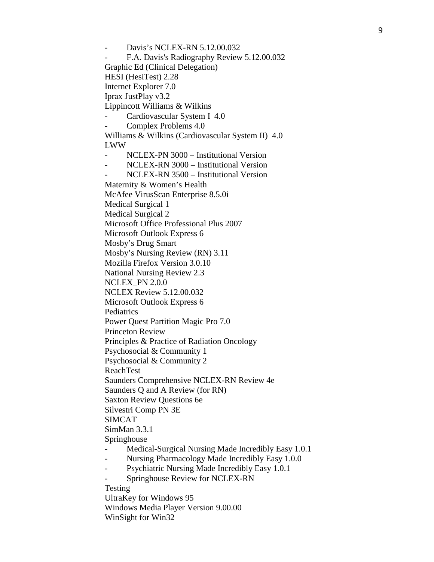Davis's NCLEX-RN 5.12.00.032 - F.A. Davis's Radiography Review 5.12.00.032 Graphic Ed (Clinical Delegation) HESI (HesiTest) 2.28 Internet Explorer 7.0 Iprax JustPlay v3.2 Lippincott Williams & Wilkins Cardiovascular System I 4.0 Complex Problems 4.0 Williams & Wilkins (Cardiovascular System II) 4.0 LWW - NCLEX-PN 3000 – Institutional Version - NCLEX-RN 3000 – Institutional Version - NCLEX-RN 3500 – Institutional Version Maternity & Women's Health McAfee VirusScan Enterprise 8.5.0i Medical Surgical 1 Medical Surgical 2 Microsoft Office Professional Plus 2007 Microsoft Outlook Express 6 Mosby's Drug Smart Mosby's Nursing Review (RN) 3.11 Mozilla Firefox Version 3.0.10 National Nursing Review 2.3 NCLEX\_PN 2.0.0 NCLEX Review 5.12.00.032 Microsoft Outlook Express 6 Pediatrics Power Quest Partition Magic Pro 7.0 Princeton Review Principles & Practice of Radiation Oncology Psychosocial & Community 1 Psychosocial & Community 2 ReachTest Saunders Comprehensive NCLEX-RN Review 4e Saunders Q and A Review (for RN) Saxton Review Questions 6e Silvestri Comp PN 3E SIMCAT SimMan 3.3.1 Springhouse Medical-Surgical Nursing Made Incredibly Easy 1.0.1 Nursing Pharmacology Made Incredibly Easy 1.0.0 - Psychiatric Nursing Made Incredibly Easy 1.0.1 Springhouse Review for NCLEX-RN Testing UltraKey for Windows 95 Windows Media Player Version 9.00.00 WinSight for Win32